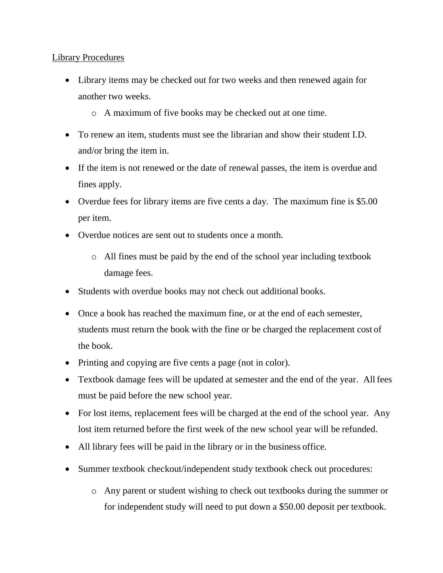## Library Procedures

- Library items may be checked out for two weeks and then renewed again for another two weeks.
	- o A maximum of five books may be checked out at one time.
- To renew an item, students must see the librarian and show their student I.D. and/or bring the item in.
- If the item is not renewed or the date of renewal passes, the item is overdue and fines apply.
- Overdue fees for library items are five cents a day. The maximum fine is \$5.00 per item.
- Overdue notices are sent out to students once a month.
	- o All fines must be paid by the end of the school year including textbook damage fees.
- Students with overdue books may not check out additional books.
- Once a book has reached the maximum fine, or at the end of each semester, students must return the book with the fine or be charged the replacement cost of the book.
- Printing and copying are five cents a page (not in color).
- Textbook damage fees will be updated at semester and the end of the year. All fees must be paid before the new school year.
- For lost items, replacement fees will be charged at the end of the school year. Any lost item returned before the first week of the new school year will be refunded.
- All library fees will be paid in the library or in the business office.
- Summer textbook checkout/independent study textbook check out procedures:
	- o Any parent or student wishing to check out textbooks during the summer or for independent study will need to put down a \$50.00 deposit per textbook.